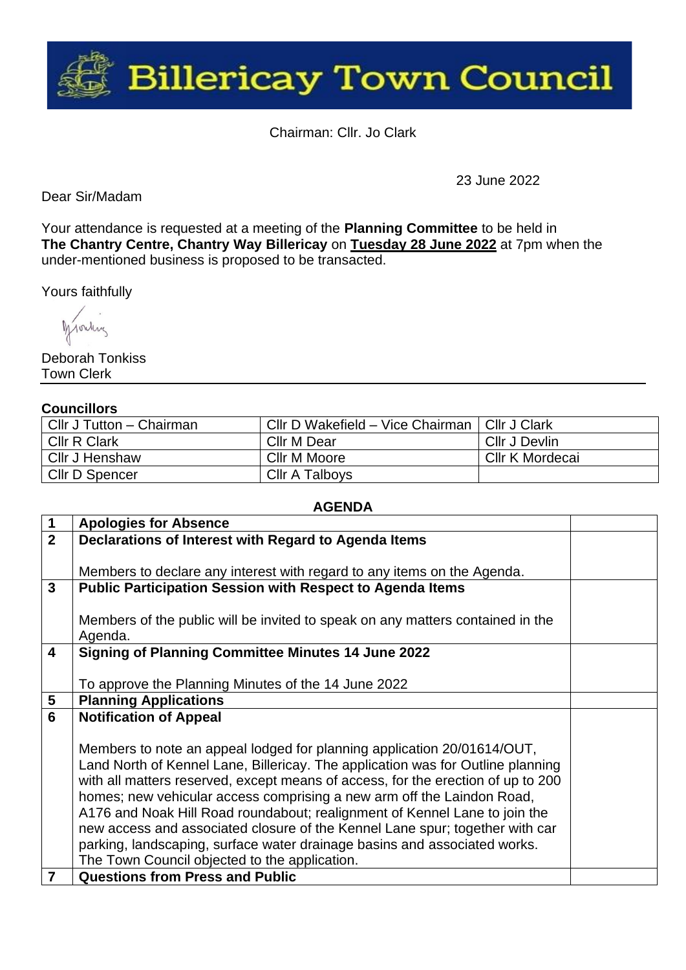

Chairman: Cllr. Jo Clark

Dear Sir/Madam

23 June 2022

Your attendance is requested at a meeting of the **Planning Committee** to be held in **The Chantry Centre, Chantry Way Billericay** on **Tuesday 28 June 2022** at 7pm when the under-mentioned business is proposed to be transacted.

Yours faithfully

Monkey

Deborah Tonkiss Town Clerk

## **Councillors**

| Cllr J Tutton - Chairman | Cllr D Wakefield - Vice Chairman   Cllr J Clark |                 |
|--------------------------|-------------------------------------------------|-----------------|
| <b>CIIr R Clark</b>      | Cllr M Dear                                     | Cllr J Devlin   |
| Cllr J Henshaw           | Cllr M Moore                                    | Cllr K Mordecai |
| Cllr D Spencer           | <b>Cllr A Talboys</b>                           |                 |

| $\mathbf 1$             | <b>Apologies for Absence</b>                                                     |  |  |  |
|-------------------------|----------------------------------------------------------------------------------|--|--|--|
| $\overline{2}$          | Declarations of Interest with Regard to Agenda Items                             |  |  |  |
|                         |                                                                                  |  |  |  |
|                         | Members to declare any interest with regard to any items on the Agenda.          |  |  |  |
| $\mathbf{3}$            | <b>Public Participation Session with Respect to Agenda Items</b>                 |  |  |  |
|                         |                                                                                  |  |  |  |
|                         | Members of the public will be invited to speak on any matters contained in the   |  |  |  |
|                         | Agenda.                                                                          |  |  |  |
| $\overline{\mathbf{4}}$ | <b>Signing of Planning Committee Minutes 14 June 2022</b>                        |  |  |  |
|                         |                                                                                  |  |  |  |
|                         | To approve the Planning Minutes of the 14 June 2022                              |  |  |  |
| 5                       | <b>Planning Applications</b>                                                     |  |  |  |
| 6                       | <b>Notification of Appeal</b>                                                    |  |  |  |
|                         |                                                                                  |  |  |  |
|                         | Members to note an appeal lodged for planning application 20/01614/OUT,          |  |  |  |
|                         | Land North of Kennel Lane, Billericay. The application was for Outline planning  |  |  |  |
|                         | with all matters reserved, except means of access, for the erection of up to 200 |  |  |  |
|                         | homes; new vehicular access comprising a new arm off the Laindon Road,           |  |  |  |
|                         | A176 and Noak Hill Road roundabout; realignment of Kennel Lane to join the       |  |  |  |
|                         | new access and associated closure of the Kennel Lane spur; together with car     |  |  |  |
|                         | parking, landscaping, surface water drainage basins and associated works.        |  |  |  |
|                         | The Town Council objected to the application.                                    |  |  |  |
| 7                       | <b>Questions from Press and Public</b>                                           |  |  |  |